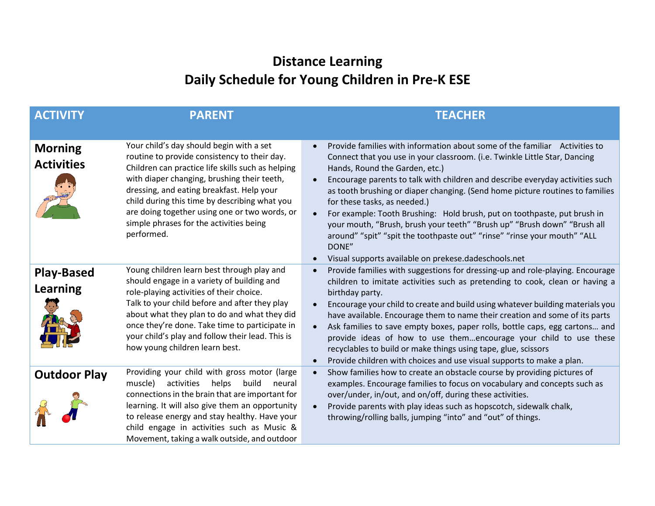## **Distance Learning Daily Schedule for Young Children in Pre-K ESE**

| <b>ACTIVITY</b>                      | <b>PARENT</b>                                                                                                                                                                                                                                                                                                                                                                                        | <b>TEACHER</b>                                                                                                                                                                                                                                                                                                                                                                                                                                                                                                                                                                                                                                                                                                              |
|--------------------------------------|------------------------------------------------------------------------------------------------------------------------------------------------------------------------------------------------------------------------------------------------------------------------------------------------------------------------------------------------------------------------------------------------------|-----------------------------------------------------------------------------------------------------------------------------------------------------------------------------------------------------------------------------------------------------------------------------------------------------------------------------------------------------------------------------------------------------------------------------------------------------------------------------------------------------------------------------------------------------------------------------------------------------------------------------------------------------------------------------------------------------------------------------|
| <b>Morning</b><br><b>Activities</b>  | Your child's day should begin with a set<br>routine to provide consistency to their day.<br>Children can practice life skills such as helping<br>with diaper changing, brushing their teeth,<br>dressing, and eating breakfast. Help your<br>child during this time by describing what you<br>are doing together using one or two words, or<br>simple phrases for the activities being<br>performed. | Provide families with information about some of the familiar Activities to<br>Connect that you use in your classroom. (i.e. Twinkle Little Star, Dancing<br>Hands, Round the Garden, etc.)<br>Encourage parents to talk with children and describe everyday activities such<br>$\bullet$<br>as tooth brushing or diaper changing. (Send home picture routines to families<br>for these tasks, as needed.)<br>For example: Tooth Brushing: Hold brush, put on toothpaste, put brush in<br>$\bullet$<br>your mouth, "Brush, brush your teeth" "Brush up" "Brush down" "Brush all<br>around" "spit" "spit the toothpaste out" "rinse" "rinse your mouth" "ALL<br>DONE"<br>Visual supports available on prekese.dadeschools.net |
| <b>Play-Based</b><br><b>Learning</b> | Young children learn best through play and<br>should engage in a variety of building and<br>role-playing activities of their choice.<br>Talk to your child before and after they play<br>about what they plan to do and what they did<br>once they're done. Take time to participate in<br>your child's play and follow their lead. This is<br>how young children learn best.                        | Provide families with suggestions for dressing-up and role-playing. Encourage<br>$\bullet$<br>children to imitate activities such as pretending to cook, clean or having a<br>birthday party.<br>Encourage your child to create and build using whatever building materials you<br>have available. Encourage them to name their creation and some of its parts<br>Ask families to save empty boxes, paper rolls, bottle caps, egg cartons and<br>provide ideas of how to use themencourage your child to use these<br>recyclables to build or make things using tape, glue, scissors<br>Provide children with choices and use visual supports to make a plan.                                                               |
| <b>Outdoor Play</b>                  | Providing your child with gross motor (large<br>muscle)<br>activities<br>helps build<br>neural<br>connections in the brain that are important for<br>learning. It will also give them an opportunity<br>to release energy and stay healthy. Have your<br>child engage in activities such as Music &<br>Movement, taking a walk outside, and outdoor                                                  | Show families how to create an obstacle course by providing pictures of<br>$\bullet$<br>examples. Encourage families to focus on vocabulary and concepts such as<br>over/under, in/out, and on/off, during these activities.<br>Provide parents with play ideas such as hopscotch, sidewalk chalk,<br>$\bullet$<br>throwing/rolling balls, jumping "into" and "out" of things.                                                                                                                                                                                                                                                                                                                                              |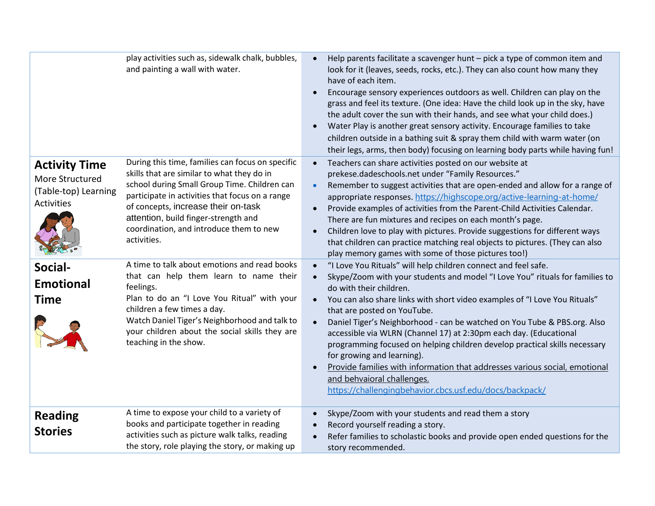| <b>Activity Time</b><br>More Structured<br>(Table-top) Learning<br><b>Activities</b><br>Social-<br><b>Emotional</b><br>Time | play activities such as, sidewalk chalk, bubbles,<br>and painting a wall with water.<br>During this time, families can focus on specific<br>skills that are similar to what they do in<br>school during Small Group Time. Children can<br>participate in activities that focus on a range<br>of concepts, increase their on-task<br>attention, build finger-strength and<br>coordination, and introduce them to new<br>activities.<br>A time to talk about emotions and read books<br>that can help them learn to name their<br>feelings.<br>Plan to do an "I Love You Ritual" with your<br>children a few times a day.<br>Watch Daniel Tiger's Neighborhood and talk to<br>your children about the social skills they are<br>teaching in the show. | Help parents facilitate a scavenger hunt - pick a type of common item and<br>$\bullet$<br>look for it (leaves, seeds, rocks, etc.). They can also count how many they<br>have of each item.<br>Encourage sensory experiences outdoors as well. Children can play on the<br>grass and feel its texture. (One idea: Have the child look up in the sky, have<br>the adult cover the sun with their hands, and see what your child does.)<br>Water Play is another great sensory activity. Encourage families to take<br>children outside in a bathing suit & spray them child with warm water (on<br>their legs, arms, then body) focusing on learning body parts while having fun!<br>Teachers can share activities posted on our website at<br>$\bullet$<br>prekese.dadeschools.net under "Family Resources."<br>Remember to suggest activities that are open-ended and allow for a range of<br>$\bullet$<br>appropriate responses. https://highscope.org/active-learning-at-home/<br>Provide examples of activities from the Parent-Child Activities Calendar.<br>$\bullet$<br>There are fun mixtures and recipes on each month's page.<br>Children love to play with pictures. Provide suggestions for different ways<br>$\bullet$<br>that children can practice matching real objects to pictures. (They can also<br>play memory games with some of those pictures too!)<br>"I Love You Rituals" will help children connect and feel safe.<br>$\bullet$<br>Skype/Zoom with your students and model "I Love You" rituals for families to<br>do with their children.<br>You can also share links with short video examples of "I Love You Rituals"<br>$\bullet$<br>that are posted on YouTube.<br>Daniel Tiger's Neighborhood - can be watched on You Tube & PBS.org. Also<br>$\bullet$<br>accessible via WLRN (Channel 17) at 2:30pm each day. (Educational<br>programming focused on helping children develop practical skills necessary<br>for growing and learning).<br>Provide families with information that addresses various social, emotional<br>and behvaioral challenges.<br>https://challengingbehavior.cbcs.usf.edu/docs/backpack/ |
|-----------------------------------------------------------------------------------------------------------------------------|-----------------------------------------------------------------------------------------------------------------------------------------------------------------------------------------------------------------------------------------------------------------------------------------------------------------------------------------------------------------------------------------------------------------------------------------------------------------------------------------------------------------------------------------------------------------------------------------------------------------------------------------------------------------------------------------------------------------------------------------------------|-------------------------------------------------------------------------------------------------------------------------------------------------------------------------------------------------------------------------------------------------------------------------------------------------------------------------------------------------------------------------------------------------------------------------------------------------------------------------------------------------------------------------------------------------------------------------------------------------------------------------------------------------------------------------------------------------------------------------------------------------------------------------------------------------------------------------------------------------------------------------------------------------------------------------------------------------------------------------------------------------------------------------------------------------------------------------------------------------------------------------------------------------------------------------------------------------------------------------------------------------------------------------------------------------------------------------------------------------------------------------------------------------------------------------------------------------------------------------------------------------------------------------------------------------------------------------------------------------------------------------------------------------------------------------------------------------------------------------------------------------------------------------------------------------------------------------------------------------------------------------------------------------------------------------------------------------------------------------------------------------------------------------------------------------------------------------------------------------------------------------------------------------|
| <b>Reading</b><br><b>Stories</b>                                                                                            | A time to expose your child to a variety of<br>books and participate together in reading<br>activities such as picture walk talks, reading<br>the story, role playing the story, or making up                                                                                                                                                                                                                                                                                                                                                                                                                                                                                                                                                       | Skype/Zoom with your students and read them a story<br>$\bullet$<br>Record yourself reading a story.<br>$\bullet$<br>Refer families to scholastic books and provide open ended questions for the<br>$\bullet$<br>story recommended.                                                                                                                                                                                                                                                                                                                                                                                                                                                                                                                                                                                                                                                                                                                                                                                                                                                                                                                                                                                                                                                                                                                                                                                                                                                                                                                                                                                                                                                                                                                                                                                                                                                                                                                                                                                                                                                                                                             |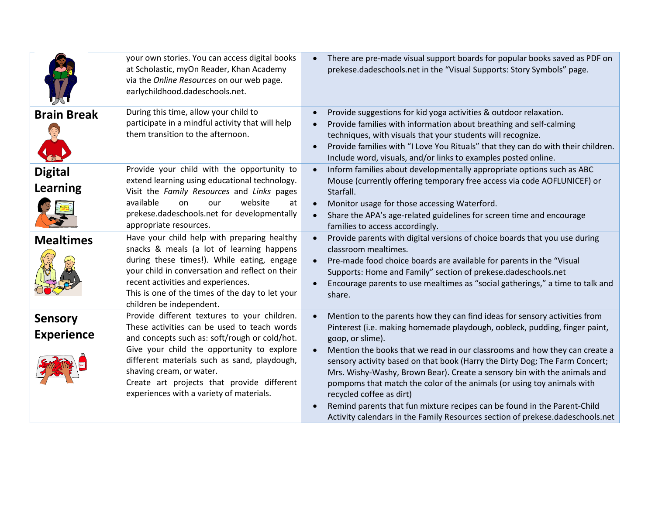|                                     | your own stories. You can access digital books<br>at Scholastic, myOn Reader, Khan Academy<br>via the Online Resources on our web page.<br>earlychildhood.dadeschools.net.                                                                                                                                                                                       | There are pre-made visual support boards for popular books saved as PDF on<br>prekese.dadeschools.net in the "Visual Supports: Story Symbols" page.                                                                                                                                                                                                                                                                                                                                                                                                                                                                                                                                      |
|-------------------------------------|------------------------------------------------------------------------------------------------------------------------------------------------------------------------------------------------------------------------------------------------------------------------------------------------------------------------------------------------------------------|------------------------------------------------------------------------------------------------------------------------------------------------------------------------------------------------------------------------------------------------------------------------------------------------------------------------------------------------------------------------------------------------------------------------------------------------------------------------------------------------------------------------------------------------------------------------------------------------------------------------------------------------------------------------------------------|
| <b>Brain Break</b>                  | During this time, allow your child to<br>participate in a mindful activity that will help<br>them transition to the afternoon.                                                                                                                                                                                                                                   | Provide suggestions for kid yoga activities & outdoor relaxation.<br>Provide families with information about breathing and self-calming<br>techniques, with visuals that your students will recognize.<br>Provide families with "I Love You Rituals" that they can do with their children.<br>Include word, visuals, and/or links to examples posted online.                                                                                                                                                                                                                                                                                                                             |
| <b>Digital</b><br><b>Learning</b>   | Provide your child with the opportunity to<br>extend learning using educational technology.<br>Visit the Family Resources and Links pages<br>available<br>website<br>on<br>our<br>at<br>prekese.dadeschools.net for developmentally<br>appropriate resources.                                                                                                    | Inform families about developmentally appropriate options such as ABC<br>Mouse (currently offering temporary free access via code AOFLUNICEF) or<br>Starfall.<br>Monitor usage for those accessing Waterford.<br>Share the APA's age-related guidelines for screen time and encourage<br>families to access accordingly.                                                                                                                                                                                                                                                                                                                                                                 |
| <b>Mealtimes</b>                    | Have your child help with preparing healthy<br>snacks & meals (a lot of learning happens<br>during these times!). While eating, engage<br>your child in conversation and reflect on their<br>recent activities and experiences.<br>This is one of the times of the day to let your<br>children be independent.                                                   | Provide parents with digital versions of choice boards that you use during<br>$\bullet$<br>classroom mealtimes.<br>Pre-made food choice boards are available for parents in the "Visual<br>Supports: Home and Family" section of prekese.dadeschools.net<br>Encourage parents to use mealtimes as "social gatherings," a time to talk and<br>share.                                                                                                                                                                                                                                                                                                                                      |
| <b>Sensory</b><br><b>Experience</b> | Provide different textures to your children.<br>These activities can be used to teach words<br>and concepts such as: soft/rough or cold/hot.<br>Give your child the opportunity to explore<br>different materials such as sand, playdough,<br>shaving cream, or water.<br>Create art projects that provide different<br>experiences with a variety of materials. | Mention to the parents how they can find ideas for sensory activities from<br>Pinterest (i.e. making homemade playdough, oobleck, pudding, finger paint,<br>goop, or slime).<br>Mention the books that we read in our classrooms and how they can create a<br>sensory activity based on that book (Harry the Dirty Dog; The Farm Concert;<br>Mrs. Wishy-Washy, Brown Bear). Create a sensory bin with the animals and<br>pompoms that match the color of the animals (or using toy animals with<br>recycled coffee as dirt)<br>Remind parents that fun mixture recipes can be found in the Parent-Child<br>Activity calendars in the Family Resources section of prekese.dadeschools.net |